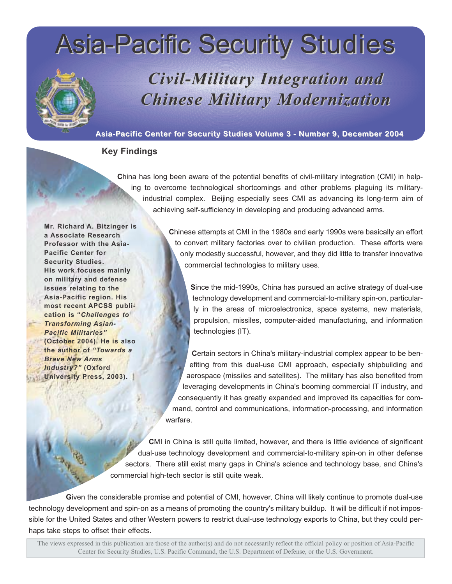# Asia-Pacific Security Asia-Pacific Security Studies



# *Civil-Military Integration and Chinese Milit Chinese Military Modernization ary Modernization*

## **Asia-Pacific Center for Security Studies Volume 3 - Number 9, December 2004**

# **Key Findings**

**C**hina has long been aware of the potential benefits of civil-military integration (CMI) in helping to overcome technological shortcomings and other problems plaguing its militaryindustrial complex. Beijing especially sees CMI as advancing its long-term aim of achieving self-sufficiency in developing and producing advanced arms.

**Mr. Richard A. Bitzinger is a Associate Research Professor with the Asia-Pacific Center for Security Studies. His work focuses mainly on military and defense issues relating to the Asia-Pacific region. His most recent APCSS publication is "***Challenges to Transforming Asian-Pacific Militaries"* **(October 2004). He is also the author of** *"Towards a Brave New Arms Industry?"* **(Oxford University Press, 2003).**

**C**hinese attempts at CMI in the 1980s and early 1990s were basically an effort to convert military factories over to civilian production. These efforts were only modestly successful, however, and they did little to transfer innovative commercial technologies to military uses.

**S**ince the mid-1990s, China has pursued an active strategy of dual-use technology development and commercial-to-military spin-on, particularly in the areas of microelectronics, space systems, new materials, propulsion, missiles, computer-aided manufacturing, and information technologies (IT).

**C**ertain sectors in China's military-industrial complex appear to be benefiting from this dual-use CMI approach, especially shipbuilding and aerospace (missiles and satellites). The military has also benefited from leveraging developments in China's booming commercial IT industry, and consequently it has greatly expanded and improved its capacities for command, control and communications, information-processing, and information warfare.

**C**MI in China is still quite limited, however, and there is little evidence of significant dual-use technology development and commercial-to-military spin-on in other defense sectors. There still exist many gaps in China's science and technology base, and China's commercial high-tech sector is still quite weak.

**G**iven the considerable promise and potential of CMI, however, China will likely continue to promote dual-use technology development and spin-on as a means of promoting the country's military buildup. It will be difficult if not impossible for the United States and other Western powers to restrict dual-use technology exports to China, but they could perhaps take steps to offset their effects.

**T**he views expressed in this publication are those of the author(s) and do not necessarily reflect the official policy or position of Asia-Pacific Center for Security Studies, U.S. Pacific Command, the U.S. Department of Defense, or the U.S. Government.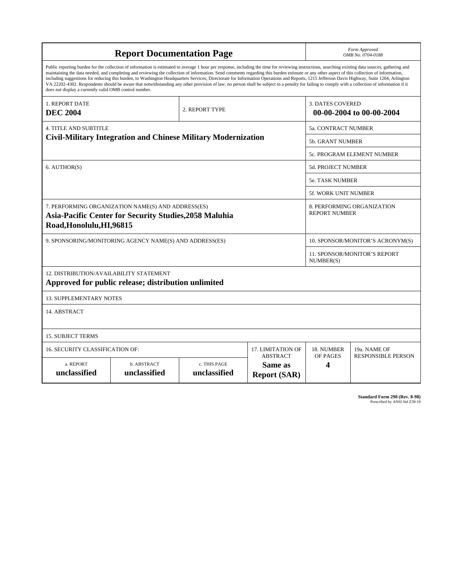| <b>Report Documentation Page</b>                                                                                                                                                                                                                                                                                                                                                                                                                                                                                                                                                                                                                                                                                                                                                                                                                                   |                             |                              |                                                   | Form Approved<br>OMB No. 0704-0188                  |                           |
|--------------------------------------------------------------------------------------------------------------------------------------------------------------------------------------------------------------------------------------------------------------------------------------------------------------------------------------------------------------------------------------------------------------------------------------------------------------------------------------------------------------------------------------------------------------------------------------------------------------------------------------------------------------------------------------------------------------------------------------------------------------------------------------------------------------------------------------------------------------------|-----------------------------|------------------------------|---------------------------------------------------|-----------------------------------------------------|---------------------------|
| Public reporting burden for the collection of information is estimated to average 1 hour per response, including the time for reviewing instructions, searching existing data sources, gathering and<br>maintaining the data needed, and completing and reviewing the collection of information. Send comments regarding this burden estimate or any other aspect of this collection of information,<br>including suggestions for reducing this burden, to Washington Headquarters Services, Directorate for Information Operations and Reports, 1215 Jefferson Davis Highway, Suite 1204, Arlington<br>VA 22202-4302. Respondents should be aware that notwithstanding any other provision of law, no person shall be subject to a penalty for failing to comply with a collection of information if it<br>does not display a currently valid OMB control number. |                             |                              |                                                   |                                                     |                           |
| <b>1. REPORT DATE</b><br><b>DEC 2004</b>                                                                                                                                                                                                                                                                                                                                                                                                                                                                                                                                                                                                                                                                                                                                                                                                                           |                             | 2. REPORT TYPE               |                                                   | <b>3. DATES COVERED</b><br>00-00-2004 to 00-00-2004 |                           |
| <b>4. TITLE AND SUBTITLE</b>                                                                                                                                                                                                                                                                                                                                                                                                                                                                                                                                                                                                                                                                                                                                                                                                                                       |                             |                              |                                                   | 5a. CONTRACT NUMBER                                 |                           |
| <b>Civil-Military Integration and Chinese Military Modernization</b>                                                                                                                                                                                                                                                                                                                                                                                                                                                                                                                                                                                                                                                                                                                                                                                               |                             |                              |                                                   | <b>5b. GRANT NUMBER</b>                             |                           |
|                                                                                                                                                                                                                                                                                                                                                                                                                                                                                                                                                                                                                                                                                                                                                                                                                                                                    |                             |                              |                                                   | 5c. PROGRAM ELEMENT NUMBER                          |                           |
| 6. AUTHOR(S)                                                                                                                                                                                                                                                                                                                                                                                                                                                                                                                                                                                                                                                                                                                                                                                                                                                       |                             |                              |                                                   | <b>5d. PROJECT NUMBER</b>                           |                           |
|                                                                                                                                                                                                                                                                                                                                                                                                                                                                                                                                                                                                                                                                                                                                                                                                                                                                    |                             |                              |                                                   | 5e. TASK NUMBER                                     |                           |
|                                                                                                                                                                                                                                                                                                                                                                                                                                                                                                                                                                                                                                                                                                                                                                                                                                                                    |                             |                              |                                                   | <b>5f. WORK UNIT NUMBER</b>                         |                           |
| 7. PERFORMING ORGANIZATION NAME(S) AND ADDRESS(ES)<br>Asia-Pacific Center for Security Studies, 2058 Maluhia<br>Road, Honolulu, HI, 96815                                                                                                                                                                                                                                                                                                                                                                                                                                                                                                                                                                                                                                                                                                                          |                             |                              |                                                   | 8. PERFORMING ORGANIZATION<br><b>REPORT NUMBER</b>  |                           |
| 9. SPONSORING/MONITORING AGENCY NAME(S) AND ADDRESS(ES)                                                                                                                                                                                                                                                                                                                                                                                                                                                                                                                                                                                                                                                                                                                                                                                                            |                             |                              |                                                   | 10. SPONSOR/MONITOR'S ACRONYM(S)                    |                           |
|                                                                                                                                                                                                                                                                                                                                                                                                                                                                                                                                                                                                                                                                                                                                                                                                                                                                    |                             |                              |                                                   | <b>11. SPONSOR/MONITOR'S REPORT</b><br>NUMBER(S)    |                           |
| 12. DISTRIBUTION/AVAILABILITY STATEMENT<br>Approved for public release; distribution unlimited                                                                                                                                                                                                                                                                                                                                                                                                                                                                                                                                                                                                                                                                                                                                                                     |                             |                              |                                                   |                                                     |                           |
| <b>13. SUPPLEMENTARY NOTES</b>                                                                                                                                                                                                                                                                                                                                                                                                                                                                                                                                                                                                                                                                                                                                                                                                                                     |                             |                              |                                                   |                                                     |                           |
| 14. ABSTRACT                                                                                                                                                                                                                                                                                                                                                                                                                                                                                                                                                                                                                                                                                                                                                                                                                                                       |                             |                              |                                                   |                                                     |                           |
| <b>15. SUBJECT TERMS</b>                                                                                                                                                                                                                                                                                                                                                                                                                                                                                                                                                                                                                                                                                                                                                                                                                                           |                             |                              |                                                   |                                                     |                           |
| 16. SECURITY CLASSIFICATION OF:<br>17. LIMITATION OF                                                                                                                                                                                                                                                                                                                                                                                                                                                                                                                                                                                                                                                                                                                                                                                                               |                             |                              |                                                   | 18. NUMBER                                          | 19a. NAME OF              |
| a. REPORT<br>unclassified                                                                                                                                                                                                                                                                                                                                                                                                                                                                                                                                                                                                                                                                                                                                                                                                                                          | b. ABSTRACT<br>unclassified | c. THIS PAGE<br>unclassified | <b>ABSTRACT</b><br>Same as<br><b>Report (SAR)</b> | OF PAGES<br>4                                       | <b>RESPONSIBLE PERSON</b> |

**Standard Form 298 (Rev. 8-98)**<br>Prescribed by ANSI Std Z39-18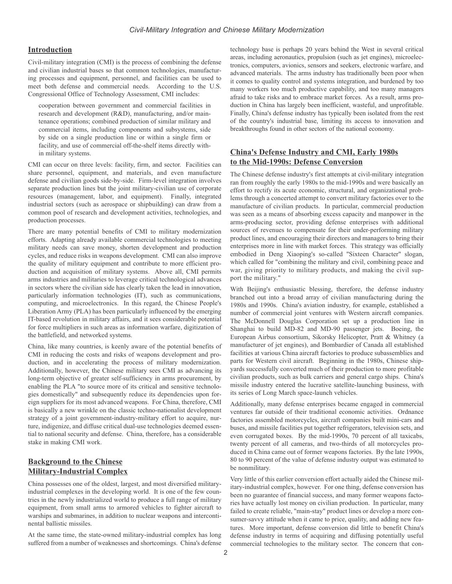#### **Introduction**

Civil-military integration (CMI) is the process of combining the defense and civilian industrial bases so that common technologies, manufacturing processes and equipment, personnel, and facilities can be used to meet both defense and commercial needs. According to the U.S. Congressional Office of Technology Assessment, CMI includes:

cooperation between government and commercial facilities in research and development (R&D), manufacturing, and/or maintenance operations; combined production of similar military and commercial items, including components and subsystems, side by side on a single production line or within a single firm or facility, and use of commercial off-the-shelf items directly within military systems.

CMI can occur on three levels: facility, firm, and sector. Facilities can share personnel, equipment, and materials, and even manufacture defense and civilian goods side-by-side. Firm-level integration involves separate production lines but the joint military-civilian use of corporate resources (management, labor, and equipment). Finally, integrated industrial sectors (such as aerospace or shipbuilding) can draw from a common pool of research and development activities, technologies, and production processes.

There are many potential benefits of CMI to military modernization efforts. Adapting already available commercial technologies to meeting military needs can save money, shorten development and production cycles, and reduce risks in weapons development. CMI can also improve the quality of military equipment and contribute to more efficient production and acquisition of military systems. Above all, CMI permits arms industries and militaries to leverage critical technological advances in sectors where the civilian side has clearly taken the lead in innovation, particularly information technologies (IT), such as communications, computing, and microelectronics. In this regard, the Chinese People's Liberation Army (PLA) has been particularly influenced by the emerging IT-based revolution in military affairs, and it sees considerable potential for force multipliers in such areas as information warfare, digitization of the battlefield, and networked systems.

China, like many countries, is keenly aware of the potential benefits of CMI in reducing the costs and risks of weapons development and production, and in accelerating the process of military modernization. Additionally, however, the Chinese military sees CMI as advancing its long-term objective of greater self-sufficiency in arms procurement, by enabling the PLA "to source more of its critical and sensitive technologies domestically" and subsequently reduce its dependencies upon foreign suppliers for its most advanced weapons. For China, therefore, CMI is basically a new wrinkle on the classic techno-nationalist development strategy of a joint government-industry-military effort to acquire, nurture, indigenize, and diffuse critical dual-use technologies deemed essential to national security and defense. China, therefore, has a considerable stake in making CMI work.

#### **Background to the Chinese Military-Industrial Complex**

China possesses one of the oldest, largest, and most diversified militaryindustrial complexes in the developing world. It is one of the few countries in the newly industrialized world to produce a full range of military equipment, from small arms to armored vehicles to fighter aircraft to warships and submarines, in addition to nuclear weapons and intercontinental ballistic missiles.

At the same time, the state-owned military-industrial complex has long suffered from a number of weaknesses and shortcomings. China's defense

technology base is perhaps 20 years behind the West in several critical areas, including aeronautics, propulsion (such as jet engines), microelectronics, computers, avionics, sensors and seekers, electronic warfare, and advanced materials. The arms industry has traditionally been poor when it comes to quality control and systems integration, and burdened by too many workers too much productive capability, and too many managers afraid to take risks and to embrace market forces. As a result, arms production in China has largely been inefficient, wasteful, and unprofitable. Finally, China's defense industry has typically been isolated from the rest of the country's industrial base, limiting its access to innovation and breakthroughs found in other sectors of the national economy.

### **China's Defense Industry and CMI, Early 1980s to the Mid-1990s: Defense Conversion**

The Chinese defense industry's first attempts at civil-military integration ran from roughly the early 1980s to the mid-1990s and were basically an effort to rectify its acute economic, structural, and organizational problems through a concerted attempt to convert military factories over to the manufacture of civilian products. In particular, commercial production was seen as a means of absorbing excess capacity and manpower in the arms-producing sector, providing defense enterprises with additional sources of revenues to compensate for their under-performing military product lines, and encouraging their directors and managers to bring their enterprises more in line with market forces. This strategy was officially embodied in Deng Xiaoping's so-called "Sixteen Character" slogan, which called for "combining the military and civil, combining peace and war, giving priority to military products, and making the civil support the military."

With Beijing's enthusiastic blessing, therefore, the defense industry branched out into a broad array of civilian manufacturing during the 1980s and 1990s. China's aviation industry, for example, established a number of commercial joint ventures with Western aircraft companies. The McDonnell Douglas Corporation set up a production line in Shanghai to build MD-82 and MD-90 passenger jets. Boeing, the European Airbus consortium, Sikorsky Helicopter, Pratt & Whitney (a manufacturer of jet engines), and Bombardier of Canada all established facilities at various China aircraft factories to produce subassemblies and parts for Western civil aircraft. Beginning in the 1980s, Chinese shipyards successfully converted much of their production to more profitable civilian products, such as bulk carriers and general cargo ships. China's missile industry entered the lucrative satellite-launching business, with its series of Long March space-launch vehicles.

Additionally, many defense enterprises became engaged in commercial ventures far outside of their traditional economic activities. Ordnance factories assembled motorcycles, aircraft companies built mini-cars and buses, and missile facilities put together refrigerators, television sets, and even corrugated boxes. By the mid-1990s, 70 percent of all taxicabs, twenty percent of all cameras, and two-thirds of all motorcycles produced in China came out of former weapons factories. By the late 1990s, 80 to 90 percent of the value of defense industry output was estimated to be nonmilitary.

Very little of this earlier conversion effort actually aided the Chinese military-industrial complex, however. For one thing, defense conversion has been no guarantee of financial success, and many former weapons factories have actually lost money on civilian production. In particular, many failed to create reliable, "main-stay" product lines or develop a more consumer-savvy attitude when it came to price, quality, and adding new features. More important, defense conversion did little to benefit China's defense industry in terms of acquiring and diffusing potentially useful commercial technologies to the military sector. The concern that con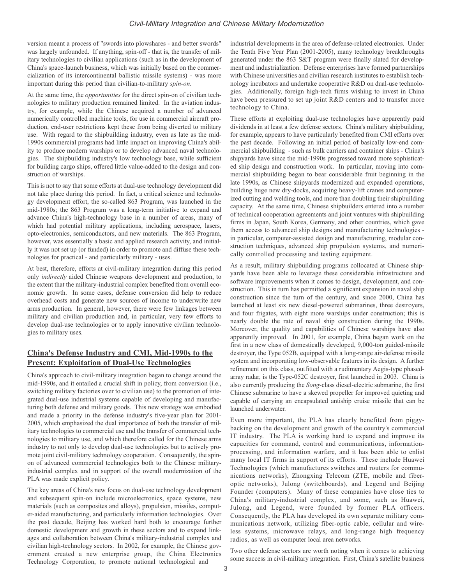version meant a process of "swords into plowshares - and better swords" was largely unfounded. If anything, spin-off - that is, the transfer of military technologies to civilian applications (such as in the development of China's space-launch business, which was initially based on the commercialization of its intercontinental ballistic missile systems) - was more important during this period than civilian-to-military *spin-on*.

At the same time, the *opportunities* for the direct spin-on of civilian technologies to military production remained limited. In the aviation industry, for example, while the Chinese acquired a number of advanced numerically controlled machine tools, for use in commercial aircraft production, end-user restrictions kept these from being diverted to military use. With regard to the shipbuilding industry, even as late as the mid-1990s commercial programs had little impact on improving China's ability to produce modern warships or to develop advanced naval technologies. The shipbuilding industry's low technology base, while sufficient for building cargo ships, offered little value-added to the design and construction of warships.

This is not to say that some efforts at dual-use technology development did not take place during this period. In fact, a critical science and technology development effort, the so-called 863 Program, was launched in the mid-1980s; the 863 Program was a long-term initiative to expand and advance China's high-technology base in a number of areas, many of which had potential military applications, including aerospace, lasers, opto-electronics, semiconductors, and new materials. The 863 Program, however, was essentially a basic and applied research activity, and initially it was not set up (or funded) in order to promote and diffuse these technologies for practical - and particularly military - uses.

At best, therefore, efforts at civil-military integration during this period only *indirectly* aided Chinese weapons development and production, to the extent that the military-industrial complex benefited from overall economic growth. In some cases, defense conversion did help to reduce overhead costs and generate new sources of income to underwrite new arms production. In general, however, there were few linkages between military and civilian production and, in particular, very few efforts to develop dual-use technologies or to apply innovative civilian technologies to military uses.

#### **China's Defense Industry and CMI, Mid-1990s to the Present: Exploitation of Dual-Use Technologies**

China's approach to civil-military integration began to change around the mid-1990s, and it entailed a crucial shift in policy, from conversion (i.e., switching military factories over to civilian use) to the promotion of integrated dual-use industrial systems capable of developing and manufacturing both defense and military goods. This new strategy was embodied and made a priority in the defense industry's five-year plan for 2001- 2005, which emphasized the dual importance of both the transfer of military technologies to commercial use and the transfer of commercial technologies to military use, and which therefore called for the Chinese arms industry to not only to develop dual-use technologies but to actively promote joint civil-military technology cooperation. Consequently, the spinon of advanced commercial technologies both to the Chinese militaryindustrial complex and in support of the overall modernization of the PLA was made explicit policy.

The key areas of China's new focus on dual-use technology development and subsequent spin-on include microelectronics, space systems, new materials (such as composites and alloys), propulsion, missiles, computer-aided manufacturing, and particularly information technologies. Over the past decade, Beijing has worked hard both to encourage further domestic development and growth in these sectors and to expand linkages and collaboration between China's military-industrial complex and civilian high-technology sectors. In 2002, for example, the Chinese government created a new enterprise group, the China Electronics Technology Corporation, to promote national technological and

industrial developments in the area of defense-related electronics. Under the Tenth Five Year Plan (2001-2005), many technology breakthroughs generated under the 863 S&T program were finally slated for development and industrialization. Defense enterprises have formed partnerships with Chinese universities and civilian research institutes to establish technology incubators and undertake cooperative R&D on dual-use technologies. Additionally, foreign high-tech firms wishing to invest in China have been pressured to set up joint R&D centers and to transfer more technology to China.

These efforts at exploiting dual-use technologies have apparently paid dividends in at least a few defense sectors. China's military shipbuilding, for example, appears to have particularly benefited from CMI efforts over the past decade. Following an initial period of basically low-end commercial shipbuilding - such as bulk carriers and container ships - China's shipyards have since the mid-1990s progressed toward more sophisticated ship design and construction work. In particular, moving into commercial shipbuilding began to bear considerable fruit beginning in the late 1990s, as Chinese shipyards modernized and expanded operations, building huge new dry-docks, acquiring heavy-lift cranes and computerized cutting and welding tools, and more than doubling their shipbuilding capacity. At the same time, Chinese shipbuilders entered into a number of technical cooperation agreements and joint ventures with shipbuilding firms in Japan, South Korea, Germany, and other countries, which gave them access to advanced ship designs and manufacturing technologies in particular, computer-assisted design and manufacturing, modular construction techniques, advanced ship propulsion systems, and numerically controlled processing and testing equipment.

As a result, military shipbuilding programs collocated at Chinese shipyards have been able to leverage these considerable infrastructure and software improvements when it comes to design, development, and construction. This in turn has permitted a significant expansion in naval ship construction since the turn of the century, and since 2000, China has launched at least six new diesel-powered submarines, three destroyers, and four frigates, with eight more warships under construction; this is nearly double the rate of naval ship construction during the 1990s. Moreover, the quality and capabilities of Chinese warships have also apparently improved. In 2001, for example, China began work on the first in a new class of domestically developed, 9,000-ton guided-missile destroyer, the Type 052B, equipped with a long-range air-defense missile system and incorporating low-observable features in its design. A further refinement on this class, outfitted with a rudimentary Aegis-type phasedarray radar, is the Type-052C destroyer, first launched in 2003. China is also currently producing the *Song*-class diesel-electric submarine, the first Chinese submarine to have a skewed propeller for improved quieting and capable of carrying an encapsulated antiship cruise missile that can be launched underwater.

Even more important, the PLA has clearly benefited from piggybacking on the development and growth of the country's commercial IT industry. The PLA is working hard to expand and improve its capacities for command, control and communications, informationprocessing, and information warfare, and it has been able to enlist many local IT firms in support of its efforts. These include Huawei Technologies (which manufactures switches and routers for communications networks), Zhongxing Telecom (ZTE, mobile and fiberoptic networks), Julong (switchboards), and Legend and Beijing Founder (computers). Many of these companies have close ties to China's military-industrial complex, and some, such as Huawei, Julong, and Legend, were founded by former PLA officers. Consequently, the PLA has developed its own separate military communications network, utilizing fiber-optic cable, cellular and wireless systems, microwave relays, and long-range high frequency radios, as well as computer local area networks.

Two other defense sectors are worth noting when it comes to achieving some success in civil-military integration. First, China's satellite business